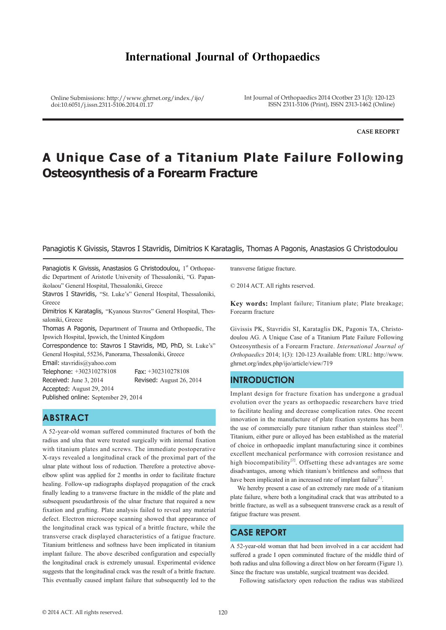# **International Journal of Orthopaedics**

Online Submissions: http://www.ghrnet.org/index./ijo/ doi:10.6051/j.issn.2311-5106.2014.01.17

Int Journal of Orthopaedics 2014 Ocotber 23 1(3): 120-123 ISSN 2311-5106 (Print), ISSN 2313-1462 (Online)

**CASE REOPRT**

# **A Unique Case of a Titanium Plate Failure Following Osteosynthesis of a Forearm Fracture**

#### Panagiotis K Givissis, Stavros I Stavridis, Dimitrios K Karataglis, Thomas A Pagonis, Anastasios G Christodoulou

Panagiotis K Givissis, Anastasios G Christodoulou, 1<sup>st</sup> Orthopaedic Department of Aristotle University of Thessaloniki, "G. Papanikolaou" General Hospital, Thessaloniki, Greece

Stavros I Stavridis, "St. Luke's" General Hospital, Thessaloniki, **Greece** 

Dimitrios K Karataglis, "Kyanous Stavros" General Hospital, Thessaloniki, Greece

Thomas A Pagonis, Department of Trauma and Orthopaedic, The Ipswich Hospital, Ipswich, the Uninted Kingdom

Correspondence to: Stavros I Stavridis, MD, PhD, St. Luke's" General Hospital, 55236, Panorama, Thessaloniki, Greece

Email: stavridis@yahoo.com

Telephone: +302310278108 Fax: +302310278108 Received: June 3, 2014 Revised: August 26, 2014 Accepted: August 29, 2014

Published online: September 29, 2014

# **ABSTRACT**

A 52-year-old woman suffered comminuted fractures of both the radius and ulna that were treated surgically with internal fixation with titanium plates and screws. The immediate postoperative X-rays revealed a longitudinal crack of the proximal part of the ulnar plate without loss of reduction. Therefore a protective aboveelbow splint was applied for 2 months in order to facilitate fracture healing. Follow-up radiographs displayed propagation of the crack finally leading to a transverse fracture in the middle of the plate and subsequent pseudarthrosis of the ulnar fracture that required a new fixation and grafting. Plate analysis failed to reveal any material defect. Electron microscope scanning showed that appearance of the longitudinal crack was typical of a brittle fracture, while the transverse crack displayed characteristics of a fatigue fracture. Titanium brittleness and softness have been implicated in titanium implant failure. The above described configuration and especially the longitudinal crack is extremely unusual. Experimental evidence suggests that the longitudinal crack was the result of a brittle fracture. This eventually caused implant failure that subsequently led to the

transverse fatigue fracture.

© 2014 ACT. All rights reserved.

**Key words:** Implant failure; Titanium plate; Plate breakage; Forearm fracture

Givissis PK, Stavridis SI, Karataglis DK, Pagonis TA, Christodoulou AG. A Unique Case of a Titanium Plate Failure Following Osteosynthesis of a Forearm Fracture. *International Journal of Orthopaedics* 2014; 1(3): 120-123 Available from: URL: http://www. ghrnet.org/index.php/ijo/article/view/719

#### **INTRODUCTION**

Implant design for fracture fixation has undergone a gradual evolution over the years as orthopaedic researchers have tried to facilitate healing and decrease complication rates. One recent innovation in the manufacture of plate fixation systems has been the use of commercially pure titanium rather than stainless steel<sup>[1]</sup>. Titanium, either pure or alloyed has been established as the material of choice in orthopaedic implant manufacturing since it combines excellent mechanical performance with corrosion resistance and high biocompatibility<sup>[2]</sup>. Offsetting these advantages are some disadvantages, among which titanium's brittleness and softness that have been implicated in an increased rate of implant failure<sup>[1]</sup>.

We hereby present a case of an extremely rare mode of a titanium plate failure, where both a longitudinal crack that was attributed to a brittle fracture, as well as a subsequent transverse crack as a result of fatigue fracture was present.

#### **CASE REPORT**

A 52-year-old woman that had been involved in a car accident had suffered a grade I open comminuted fracture of the middle third of both radius and ulna following a direct blow on her forearm (Figure 1). Since the fracture was unstable, surgical treatment was decided.

Following satisfactory open reduction the radius was stabilized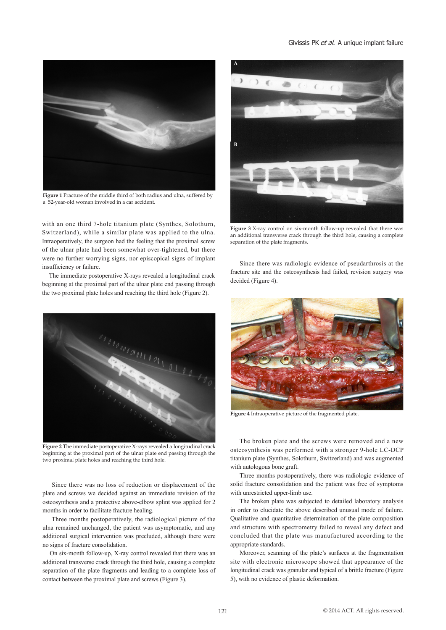#### Givissis PK et al. A unique implant failure



**Figure 1** Fracture of the middle third of both radius and ulna, suffered by a 52-year-old woman involved in a car accident.

with an one third 7-hole titanium plate (Synthes, Solothurn, Switzerland), while a similar plate was applied to the ulna. Intraoperatively, the surgeon had the feeling that the proximal screw of the ulnar plate had been somewhat over-tightened, but there were no further worrying signs, nor episcopical signs of implant insufficiency or failure.

 The immediate postoperative X-rays revealed a longitudinal crack beginning at the proximal part of the ulnar plate end passing through the two proximal plate holes and reaching the third hole (Figure 2).



**Figure 2** The immediate postoperative X-rays revealed a longitudinal crack beginning at the proximal part of the ulnar plate end passing through the two proximal plate holes and reaching the third hole.

 Since there was no loss of reduction or displacement of the plate and screws we decided against an immediate revision of the osteosynthesis and a protective above-elbow splint was applied for 2 months in order to facilitate fracture healing.

 Three months postoperatively, the radiological picture of the ulna remained unchanged, the patient was asymptomatic, and any additional surgical intervention was precluded, although there were no signs of fracture consolidation.

 On six-month follow-up, X-ray control revealed that there was an additional transverse crack through the third hole, causing a complete separation of the plate fragments and leading to a complete loss of contact between the proximal plate and screws (Figure 3).



**Figure 3** X-ray control on six-month follow-up revealed that there was an additional transverse crack through the third hole, causing a complete separation of the plate fragments.

 Since there was radiologic evidence of pseudarthrosis at the fracture site and the osteosynthesis had failed, revision surgery was decided (Figure 4).



**Figure 4** Intraoperative picture of the fragmented plate.

 The broken plate and the screws were removed and a new osteosynthesis was performed with a stronger 9-hole LC-DCP titanium plate (Synthes, Solothurn, Switzerland) and was augmented with autologous bone graft.

 Three months postoperatively, there was radiologic evidence of solid fracture consolidation and the patient was free of symptoms with unrestricted upper-limb use.

 The broken plate was subjected to detailed laboratory analysis in order to elucidate the above described unusual mode of failure. Qualitative and quantitative determination of the plate composition and structure with spectrometry failed to reveal any defect and concluded that the plate was manufactured according to the appropriate standards.

 Moreover, scanning of the plate's surfaces at the fragmentation site with electronic microscope showed that appearance of the longitudinal crack was granular and typical of a brittle fracture (Figure 5), with no evidence of plastic deformation.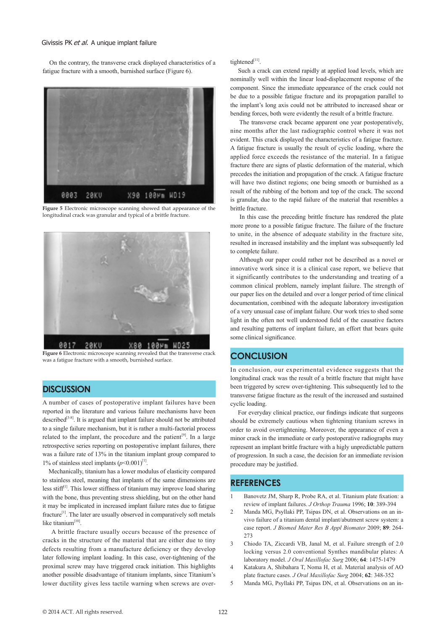On the contrary, the transverse crack displayed characteristics of a fatigue fracture with a smooth, burnished surface (Figure 6).



**Figure 5** Electronic microscope scanning showed that appearance of the longitudinal crack was granular and typical of a brittle fracture.



**Figure 6** Electronic microscope scanning revealed that the transverse crack was a fatigue fracture with a smooth, burnished surface.

### **DISCUSSION**

A number of cases of postoperative implant failures have been reported in the literature and various failure mechanisms have been described<sup>[3-8]</sup>. It is argued that implant failure should not be attributed to a single failure mechanism, but it is rather a multi-factorial process related to the implant, the procedure and the patient<sup>[9]</sup>. In a large retrospective series reporting on postoperative implant failures, there was a failure rate of 13% in the titanium implant group compared to 1% of stainless steel implants  $(p<0.001)^{[1]}$ .

 Mechanically, titanium has a lower modulus of elasticity compared to stainless steel, meaning that implants of the same dimensions are less stiff $[1]$ . This lower stiffness of titanium may improve load sharing with the bone, thus preventing stress shielding, but on the other hand it may be implicated in increased implant failure rates due to fatigue fracture[1]. The later are usually observed in comparatively soft metals like titanium<sup>[10]</sup>

 A brittle fracture usually occurs because of the presence of cracks in the structure of the material that are either due to tiny defects resulting from a manufacture deficiency or they develop later following implant loading. In this case, over-tightening of the proximal screw may have triggered crack initiation. This highlights another possible disadvantage of titanium implants, since Titanium's lower ductility gives less tactile warning when screws are overtightened[11].

 Such a crack can extend rapidly at applied load levels, which are nominally well within the linear load-displacement response of the component. Since the immediate appearance of the crack could not be due to a possible fatigue fracture and its propagation parallel to the implant's long axis could not be attributed to increased shear or bending forces, both were evidently the result of a brittle fracture.

 The transverse crack became apparent one year postoperatively, nine months after the last radiographic control where it was not evident. This crack displayed the characteristics of a fatigue fracture. A fatigue fracture is usually the result of cyclic loading, where the applied force exceeds the resistance of the material. In a fatigue fracture there are signs of plastic deformation of the material, which precedes the initiation and propagation of the crack. A fatigue fracture will have two distinct regions; one being smooth or burnished as a result of the rubbing of the bottom and top of the crack. The second is granular, due to the rapid failure of the material that resembles a brittle fracture.

 In this case the preceding brittle fracture has rendered the plate more prone to a possible fatigue fracture. The failure of the fracture to unite, in the absence of adequate stability in the fracture site, resulted in increased instability and the implant was subsequently led to complete failure.

 Although our paper could rather not be described as a novel or innovative work since it is a clinical case report, we believe that it significantly contributes to the understanding and treating of a common clinical problem, namely implant failure. The strength of our paper lies on the detailed and over a longer period of time clinical documentation, combined with the adequate laboratory investigation of a very unusual case of implant failure. Our work tries to shed some light in the often not well understood field of the causative factors and resulting patterns of implant failure, an effort that bears quite some clinical significance.

# **CONCLUSION**

In conclusion, our experimental evidence suggests that the longitudinal crack was the result of a brittle fracture that might have been triggered by screw over-tightening. This subsequently led to the transverse fatigue fracture as the result of the increased and sustained cyclic loading.

 For everyday clinical practice, our findings indicate that surgeons should be extremely cautious when tightening titanium screws in order to avoid overtightening. Moreover, the appearance of even a minor crack in the immediate or early postoperative radiographs may represent an implant brittle fracture with a higly unpredictable pattern of progression. In such a case, the decision for an immediate revision procedure may be justified.

#### **REFERENCES**

- 1 Banovetz JM, Sharp R, Probe RA, et al. Titanium plate fixation: a review of implant failures. *J Orthop Trauma* 1996; **10**: 389-394
- 2 Manda MG, Psyllaki PP, Tsipas DN, et al. Observations on an invivo failure of a titanium dental implant/abutment screw system: a case report. *J Biomed Mater Res B Appl Biomater* 2009; **89**: 264- 273
- 3 Chiodo TA, Ziccardi VB, Janal M, et al. Failure strength of 2.0 locking versus 2.0 conventional Synthes mandibular plates: A laboratory model. *J Oral Maxillofac Surg* 2006; **64**: 1475-1479
- 4 Katakura A, Shibahara T, Noma H, et al. Material analysis of AO plate fracture cases. *J Oral Maxillofac Surg* 2004; **62**: 348-352
- 5 Manda MG, Psyllaki PP, Tsipas DN, et al. Observations on an in-